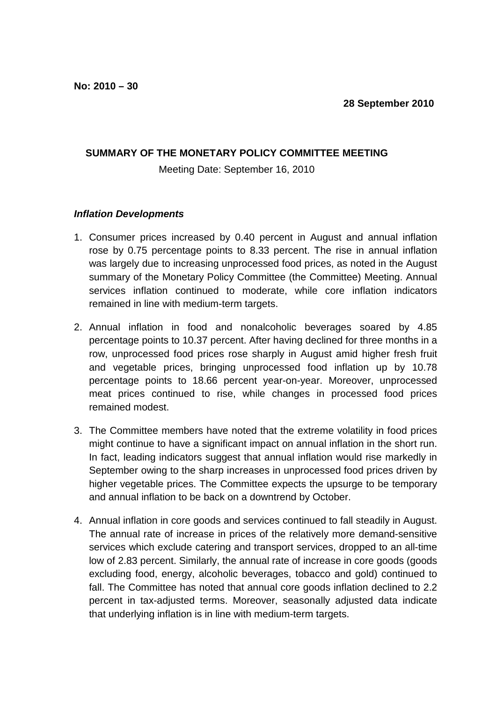## **SUMMARY OF THE MONETARY POLICY COMMITTEE MEETING**

## Meeting Date: September 16, 2010

#### **Inflation Developments**

- 1. Consumer prices increased by 0.40 percent in August and annual inflation rose by 0.75 percentage points to 8.33 percent. The rise in annual inflation was largely due to increasing unprocessed food prices, as noted in the August summary of the Monetary Policy Committee (the Committee) Meeting. Annual services inflation continued to moderate, while core inflation indicators remained in line with medium-term targets.
- 2. Annual inflation in food and nonalcoholic beverages soared by 4.85 percentage points to 10.37 percent. After having declined for three months in a row, unprocessed food prices rose sharply in August amid higher fresh fruit and vegetable prices, bringing unprocessed food inflation up by 10.78 percentage points to 18.66 percent year-on-year. Moreover, unprocessed meat prices continued to rise, while changes in processed food prices remained modest.
- 3. The Committee members have noted that the extreme volatility in food prices might continue to have a significant impact on annual inflation in the short run. In fact, leading indicators suggest that annual inflation would rise markedly in September owing to the sharp increases in unprocessed food prices driven by higher vegetable prices. The Committee expects the upsurge to be temporary and annual inflation to be back on a downtrend by October.
- 4. Annual inflation in core goods and services continued to fall steadily in August. The annual rate of increase in prices of the relatively more demand-sensitive services which exclude catering and transport services, dropped to an all-time low of 2.83 percent. Similarly, the annual rate of increase in core goods (goods excluding food, energy, alcoholic beverages, tobacco and gold) continued to fall. The Committee has noted that annual core goods inflation declined to 2.2 percent in tax-adjusted terms. Moreover, seasonally adjusted data indicate that underlying inflation is in line with medium-term targets.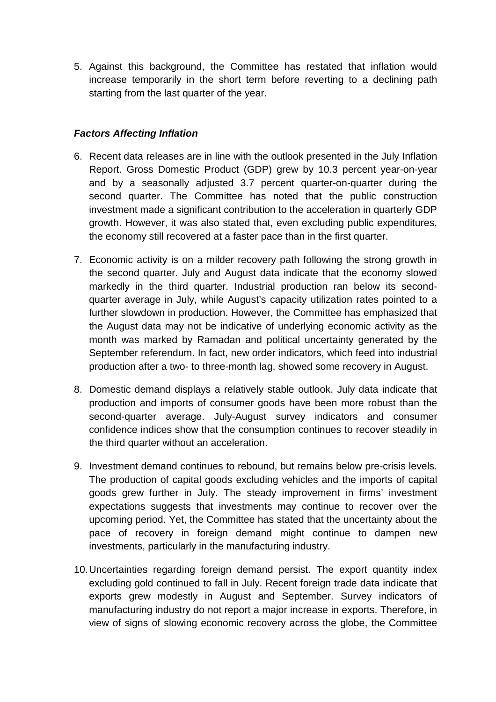5. Against this background, the Committee has restated that inflation would increase temporarily in the short term before reverting to a declining path starting from the last quarter of the year.

# **Factors Affecting Inflation**

- 6. Recent data releases are in line with the outlook presented in the July Inflation Report. Gross Domestic Product (GDP) grew by 10.3 percent year-on-year and by a seasonally adjusted 3.7 percent quarter-on-quarter during the second quarter. The Committee has noted that the public construction investment made a significant contribution to the acceleration in quarterly GDP growth. However, it was also stated that, even excluding public expenditures, the economy still recovered at a faster pace than in the first quarter.
- 7. Economic activity is on a milder recovery path following the strong growth in the second quarter. July and August data indicate that the economy slowed markedly in the third quarter. Industrial production ran below its secondquarter average in July, while August's capacity utilization rates pointed to a further slowdown in production. However, the Committee has emphasized that the August data may not be indicative of underlying economic activity as the month was marked by Ramadan and political uncertainty generated by the September referendum. In fact, new order indicators, which feed into industrial production after a two- to three-month lag, showed some recovery in August.
- 8. Domestic demand displays a relatively stable outlook. July data indicate that production and imports of consumer goods have been more robust than the second-quarter average. July-August survey indicators and consumer confidence indices show that the consumption continues to recover steadily in the third quarter without an acceleration.
- 9. Investment demand continues to rebound, but remains below pre-crisis levels. The production of capital goods excluding vehicles and the imports of capital goods grew further in July. The steady improvement in firms' investment expectations suggests that investments may continue to recover over the upcoming period. Yet, the Committee has stated that the uncertainty about the pace of recovery in foreign demand might continue to dampen new investments, particularly in the manufacturing industry.
- 10. Uncertainties regarding foreign demand persist. The export quantity index excluding gold continued to fall in July. Recent foreign trade data indicate that exports grew modestly in August and September. Survey indicators of manufacturing industry do not report a major increase in exports. Therefore, in view of signs of slowing economic recovery across the globe, the Committee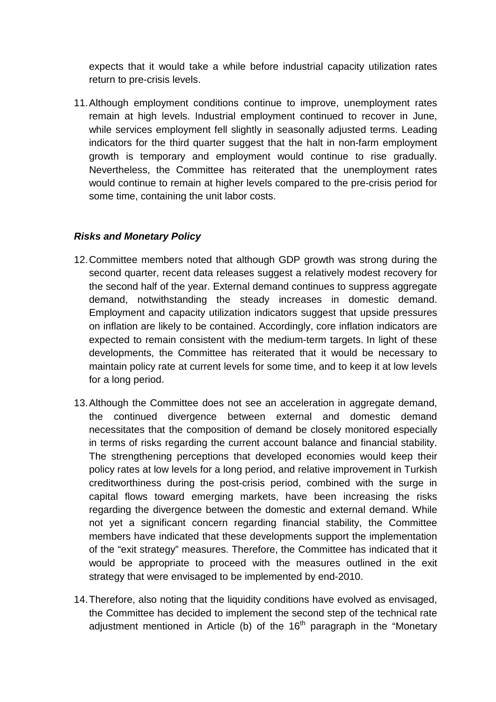expects that it would take a while before industrial capacity utilization rates return to pre-crisis levels.

11. Although employment conditions continue to improve, unemployment rates remain at high levels. Industrial employment continued to recover in June, while services employment fell slightly in seasonally adjusted terms. Leading indicators for the third quarter suggest that the halt in non-farm employment growth is temporary and employment would continue to rise gradually. Nevertheless, the Committee has reiterated that the unemployment rates would continue to remain at higher levels compared to the pre-crisis period for some time, containing the unit labor costs.

## **Risks and Monetary Policy**

- 12. Committee members noted that although GDP growth was strong during the second quarter, recent data releases suggest a relatively modest recovery for the second half of the year. External demand continues to suppress aggregate demand, notwithstanding the steady increases in domestic demand. Employment and capacity utilization indicators suggest that upside pressures on inflation are likely to be contained. Accordingly, core inflation indicators are expected to remain consistent with the medium-term targets. In light of these developments, the Committee has reiterated that it would be necessary to maintain policy rate at current levels for some time, and to keep it at low levels for a long period.
- 13. Although the Committee does not see an acceleration in aggregate demand, the continued divergence between external and domestic demand necessitates that the composition of demand be closely monitored especially in terms of risks regarding the current account balance and financial stability. The strengthening perceptions that developed economies would keep their policy rates at low levels for a long period, and relative improvement in Turkish creditworthiness during the post-crisis period, combined with the surge in capital flows toward emerging markets, have been increasing the risks regarding the divergence between the domestic and external demand. While not yet a significant concern regarding financial stability, the Committee members have indicated that these developments support the implementation of the "exit strategy" measures. Therefore, the Committee has indicated that it would be appropriate to proceed with the measures outlined in the exit strategy that were envisaged to be implemented by end-2010.
- 14. Therefore, also noting that the liquidity conditions have evolved as envisaged, the Committee has decided to implement the second step of the technical rate adjustment mentioned in Article (b) of the  $16<sup>th</sup>$  paragraph in the "Monetary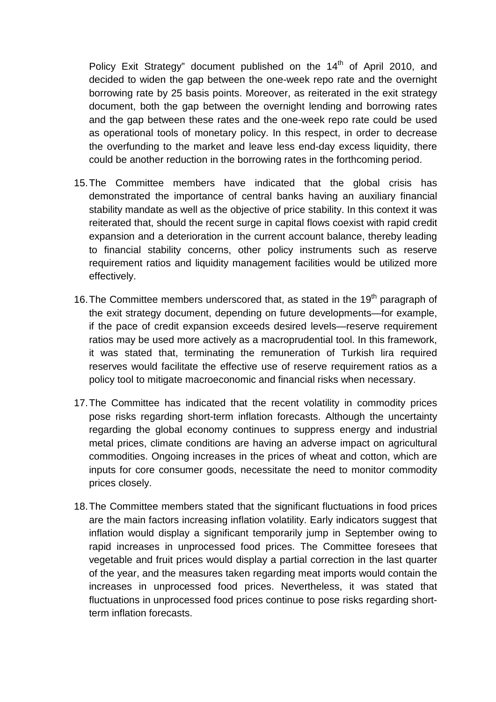Policy Exit Strategy" document published on the 14<sup>th</sup> of April 2010, and decided to widen the gap between the one-week repo rate and the overnight borrowing rate by 25 basis points. Moreover, as reiterated in the exit strategy document, both the gap between the overnight lending and borrowing rates and the gap between these rates and the one-week repo rate could be used as operational tools of monetary policy. In this respect, in order to decrease the overfunding to the market and leave less end-day excess liquidity, there could be another reduction in the borrowing rates in the forthcoming period.

- 15. The Committee members have indicated that the global crisis has demonstrated the importance of central banks having an auxiliary financial stability mandate as well as the objective of price stability. In this context it was reiterated that, should the recent surge in capital flows coexist with rapid credit expansion and a deterioration in the current account balance, thereby leading to financial stability concerns, other policy instruments such as reserve requirement ratios and liquidity management facilities would be utilized more effectively.
- 16. The Committee members underscored that, as stated in the 19<sup>th</sup> paragraph of the exit strategy document, depending on future developments—for example, if the pace of credit expansion exceeds desired levels—reserve requirement ratios may be used more actively as a macroprudential tool. In this framework, it was stated that, terminating the remuneration of Turkish lira required reserves would facilitate the effective use of reserve requirement ratios as a policy tool to mitigate macroeconomic and financial risks when necessary.
- 17. The Committee has indicated that the recent volatility in commodity prices pose risks regarding short-term inflation forecasts. Although the uncertainty regarding the global economy continues to suppress energy and industrial metal prices, climate conditions are having an adverse impact on agricultural commodities. Ongoing increases in the prices of wheat and cotton, which are inputs for core consumer goods, necessitate the need to monitor commodity prices closely.
- 18. The Committee members stated that the significant fluctuations in food prices are the main factors increasing inflation volatility. Early indicators suggest that inflation would display a significant temporarily jump in September owing to rapid increases in unprocessed food prices. The Committee foresees that vegetable and fruit prices would display a partial correction in the last quarter of the year, and the measures taken regarding meat imports would contain the increases in unprocessed food prices. Nevertheless, it was stated that fluctuations in unprocessed food prices continue to pose risks regarding shortterm inflation forecasts.